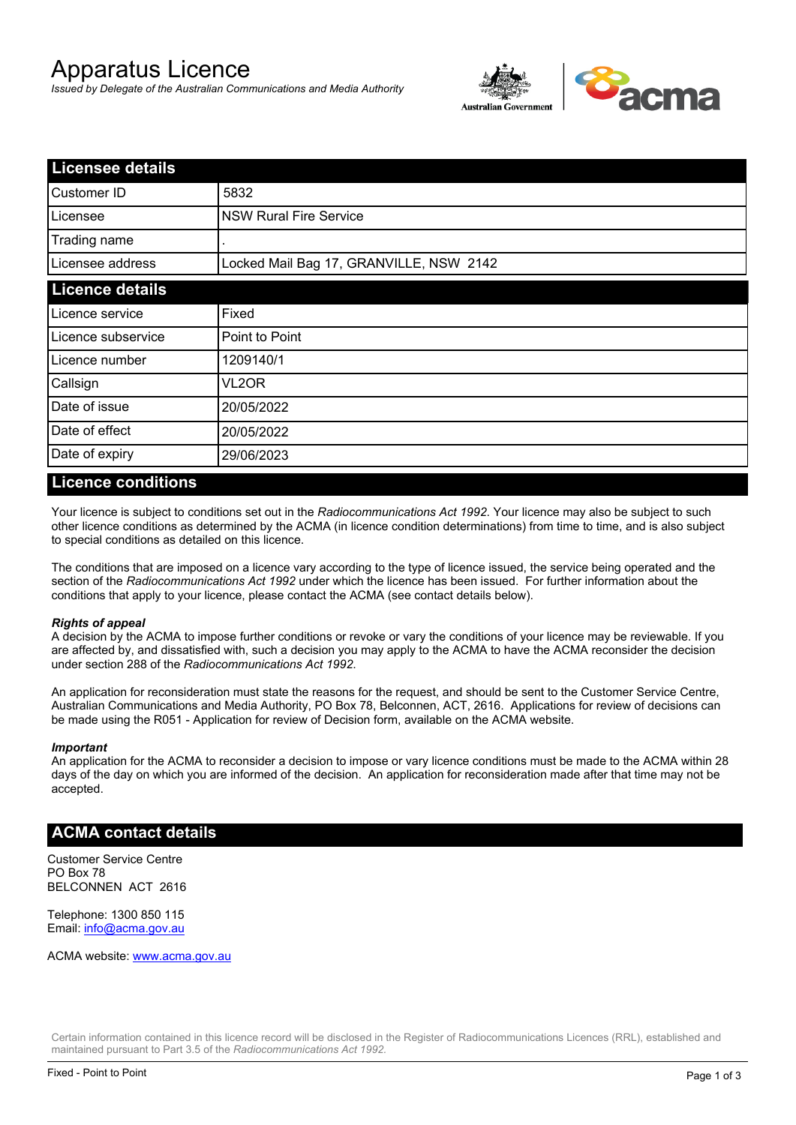# Apparatus Licence

*Issued by Delegate of the Australian Communications and Media Authority*



| <b>Licensee details</b> |                                         |  |
|-------------------------|-----------------------------------------|--|
| Customer ID             | 5832                                    |  |
| Licensee                | <b>NSW Rural Fire Service</b>           |  |
| Trading name            |                                         |  |
| Licensee address        | Locked Mail Bag 17, GRANVILLE, NSW 2142 |  |
| <b>Licence details</b>  |                                         |  |
| Licence service         | Fixed                                   |  |
| Licence subservice      | Point to Point                          |  |
| Licence number          | 1209140/1                               |  |
| Callsign                | VL2OR                                   |  |
| Date of issue           | 20/05/2022                              |  |
| Date of effect          | 20/05/2022                              |  |
| Date of expiry          | 29/06/2023                              |  |

### **Licence conditions**

Your licence is subject to conditions set out in the *Radiocommunications Act 1992*. Your licence may also be subject to such other licence conditions as determined by the ACMA (in licence condition determinations) from time to time, and is also subject to special conditions as detailed on this licence.

The conditions that are imposed on a licence vary according to the type of licence issued, the service being operated and the section of the *Radiocommunications Act 1992* under which the licence has been issued. For further information about the conditions that apply to your licence, please contact the ACMA (see contact details below).

### *Rights of appeal*

A decision by the ACMA to impose further conditions or revoke or vary the conditions of your licence may be reviewable. If you are affected by, and dissatisfied with, such a decision you may apply to the ACMA to have the ACMA reconsider the decision under section 288 of the *Radiocommunications Act 1992*.

An application for reconsideration must state the reasons for the request, and should be sent to the Customer Service Centre, Australian Communications and Media Authority, PO Box 78, Belconnen, ACT, 2616. Applications for review of decisions can be made using the R051 - Application for review of Decision form, available on the ACMA website.

#### *Important*

An application for the ACMA to reconsider a decision to impose or vary licence conditions must be made to the ACMA within 28 days of the day on which you are informed of the decision. An application for reconsideration made after that time may not be accepted.

### **ACMA contact details**

Customer Service Centre PO Box 78 BELCONNEN ACT 2616

Telephone: 1300 850 115 Email: info@acma.gov.au

ACMA website: www.acma.gov.au

Certain information contained in this licence record will be disclosed in the Register of Radiocommunications Licences (RRL), established and maintained pursuant to Part 3.5 of the *Radiocommunications Act 1992.*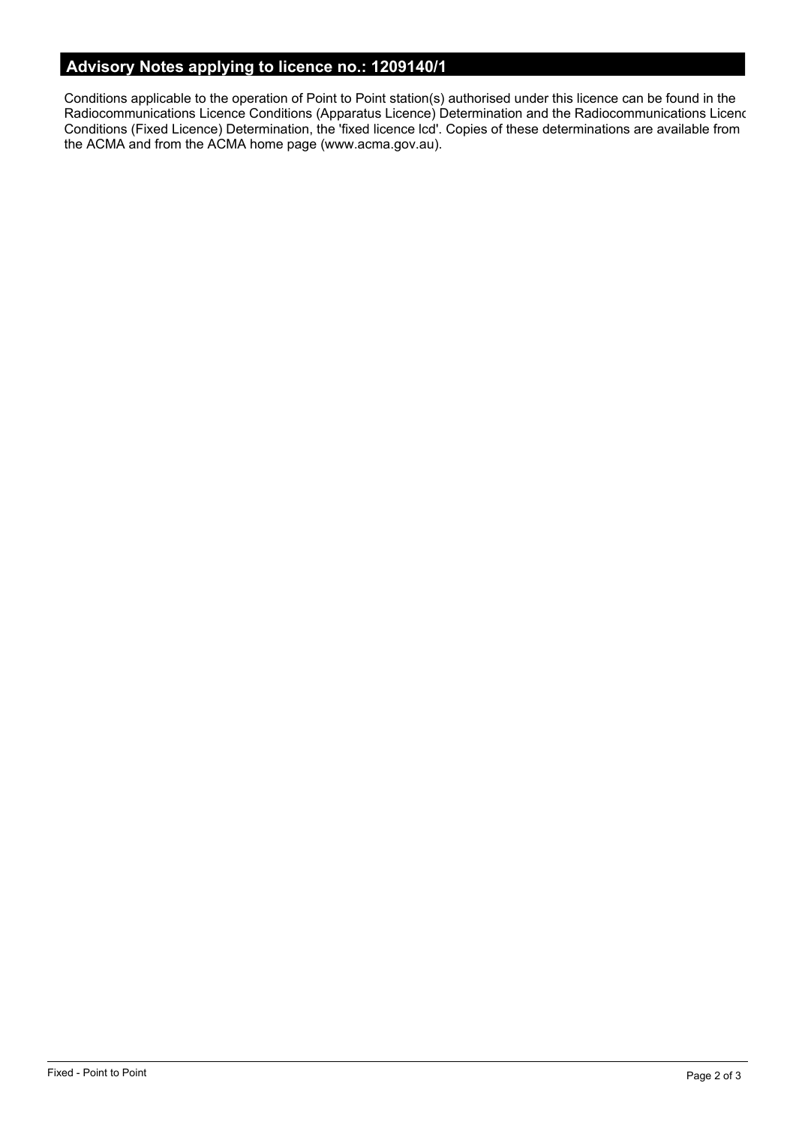# **Advisory Notes applying to licence no.: 1209140/1**

Conditions applicable to the operation of Point to Point station(s) authorised under this licence can be found in the Radiocommunications Licence Conditions (Apparatus Licence) Determination and the Radiocommunications Licence Conditions (Fixed Licence) Determination, the 'fixed licence lcd'. Copies of these determinations are available from the ACMA and from the ACMA home page (www.acma.gov.au).